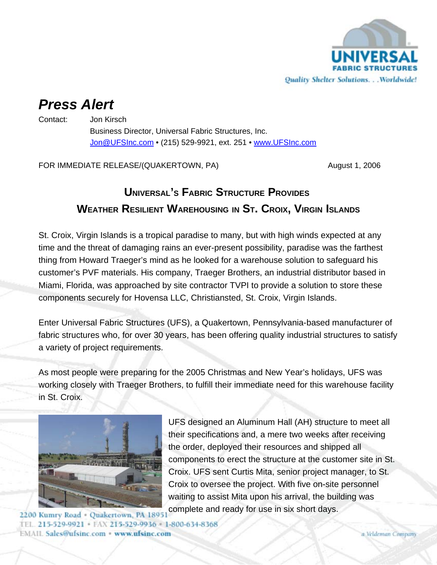

# *Press Alert*

Contact: Jon Kirsch

Business Director, Universal Fabric Structures, Inc. Jon@UFSInc.com • (215) 529-9921, ext. 251 • www.UFSInc.com

FOR IMMEDIATE RELEASE/(QUAKERTOWN, PA) August 1, 2006

## **UNIVERSAL'S FABRIC STRUCTURE PROVIDES WEATHER RESILIENT WAREHOUSING IN ST. CROIX, VIRGIN ISLANDS**

St. Croix, Virgin Islands is a tropical paradise to many, but with high winds expected at any time and the threat of damaging rains an ever-present possibility, paradise was the farthest thing from Howard Traeger's mind as he looked for a warehouse solution to safeguard his customer's PVF materials. His company, Traeger Brothers, an industrial distributor based in Miami, Florida, was approached by site contractor TVPI to provide a solution to store these components securely for Hovensa LLC, Christiansted, St. Croix, Virgin Islands.

Enter Universal Fabric Structures (UFS), a Quakertown, Pennsylvania-based manufacturer of fabric structures who, for over 30 years, has been offering quality industrial structures to satisfy a variety of project requirements.

As most people were preparing for the 2005 Christmas and New Year's holidays, UFS was working closely with Traeger Brothers, to fulfill their immediate need for this warehouse facility in St. Croix.



UFS designed an Aluminum Hall (AH) structure to meet all their specifications and, a mere two weeks after receiving the order, deployed their resources and shipped all components to erect the structure at the customer site in St. Croix. UFS sent Curtis Mita, senior project manager, to St. Croix to oversee the project. With five on-site personnel waiting to assist Mita upon his arrival, the building was complete and ready for use in six short days.

2200 Kumry Road - Quakertown, PA 18951 **EMAIL Sales@ufsinc.com · www.ufsinc.com**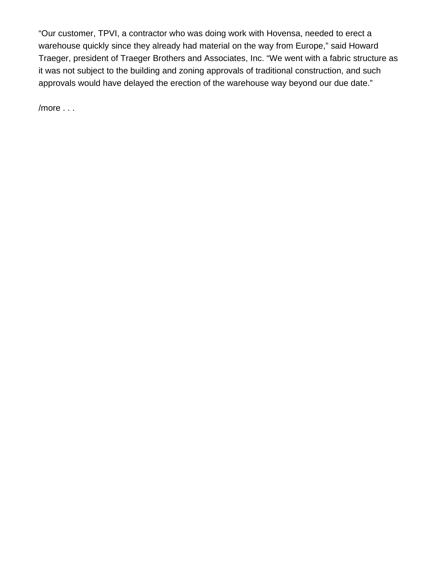"Our customer, TPVI, a contractor who was doing work with Hovensa, needed to erect a warehouse quickly since they already had material on the way from Europe," said Howard Traeger, president of Traeger Brothers and Associates, Inc. "We went with a fabric structure as it was not subject to the building and zoning approvals of traditional construction, and such approvals would have delayed the erection of the warehouse way beyond our due date."

/more . . .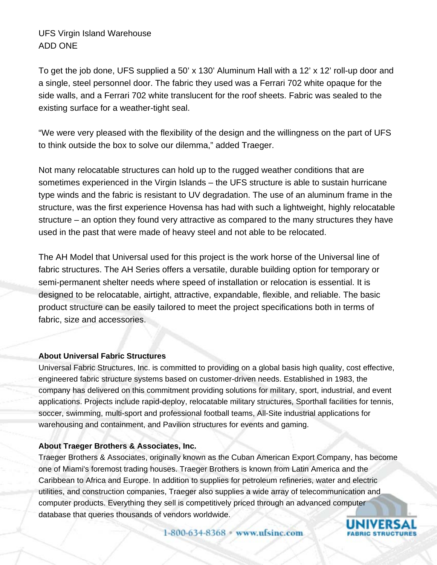### UFS Virgin Island Warehouse ADD ONE

To get the job done, UFS supplied a 50' x 130' Aluminum Hall with a 12' x 12' roll-up door and a single, steel personnel door. The fabric they used was a Ferrari 702 white opaque for the side walls, and a Ferrari 702 white translucent for the roof sheets. Fabric was sealed to the existing surface for a weather-tight seal.

"We were very pleased with the flexibility of the design and the willingness on the part of UFS to think outside the box to solve our dilemma," added Traeger.

Not many relocatable structures can hold up to the rugged weather conditions that are sometimes experienced in the Virgin Islands – the UFS structure is able to sustain hurricane type winds and the fabric is resistant to UV degradation. The use of an aluminum frame in the structure, was the first experience Hovensa has had with such a lightweight, highly relocatable structure – an option they found very attractive as compared to the many structures they have used in the past that were made of heavy steel and not able to be relocated.

The AH Model that Universal used for this project is the work horse of the Universal line of fabric structures. The AH Series offers a versatile, durable building option for temporary or semi-permanent shelter needs where speed of installation or relocation is essential. It is designed to be relocatable, airtight, attractive, expandable, flexible, and reliable. The basic product structure can be easily tailored to meet the project specifications both in terms of fabric, size and accessories.

#### **About Universal Fabric Structures**

Universal Fabric Structures, Inc. is committed to providing on a global basis high quality, cost effective, engineered fabric structure systems based on customer-driven needs. Established in 1983, the company has delivered on this commitment providing solutions for military, sport, industrial, and event applications. Projects include rapid-deploy, relocatable military structures, Sporthall facilities for tennis, soccer, swimming, multi-sport and professional football teams, All-Site industrial applications for warehousing and containment, and Pavilion structures for events and gaming.

#### **About Traeger Brothers & Associates, Inc.**

Traeger Brothers & Associates, originally known as the Cuban American Export Company, has become one of Miami's foremost trading houses. Traeger Brothers is known from Latin America and the Caribbean to Africa and Europe. In addition to supplies for petroleum refineries, water and electric utilities, and construction companies, Traeger also supplies a wide array of telecommunication and computer products. Everything they sell is competitively priced through an advanced computer database that queries thousands of vendors worldwide.